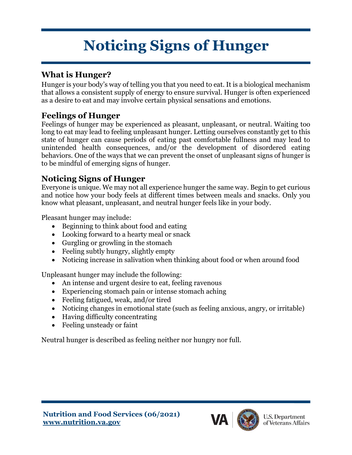# **Noticing Signs of Hunger**

#### **What is Hunger?**

Hunger is your body's way of telling you that you need to eat. It is a biological mechanism that allows a consistent supply of energy to ensure survival. Hunger is often experienced as a desire to eat and may involve certain physical sensations and emotions.

#### **Feelings of Hunger**

Feelings of hunger may be experienced as pleasant, unpleasant, or neutral. Waiting too long to eat may lead to feeling unpleasant hunger. Letting ourselves constantly get to this state of hunger can cause periods of eating past comfortable fullness and may lead to unintended health consequences, and/or the development of disordered eating behaviors. One of the ways that we can prevent the onset of unpleasant signs of hunger is to be mindful of emerging signs of hunger.

#### **Noticing Signs of Hunger**

Everyone is unique. We may not all experience hunger the same way. Begin to get curious and notice how your body feels at different times between meals and snacks. Only you know what pleasant, unpleasant, and neutral hunger feels like in your body.

Pleasant hunger may include:

- Beginning to think about food and eating
- Looking forward to a hearty meal or snack
- Gurgling or growling in the stomach
- Feeling subtly hungry, slightly empty
- Noticing increase in salivation when thinking about food or when around food

Unpleasant hunger may include the following:

- An intense and urgent desire to eat, feeling ravenous
- Experiencing stomach pain or intense stomach aching
- Feeling fatigued, weak, and/or tired
- Noticing changes in emotional state (such as feeling anxious, angry, or irritable)
- Having difficulty concentrating
- Feeling unsteady or faint

Neutral hunger is described as feeling neither nor hungry nor full.